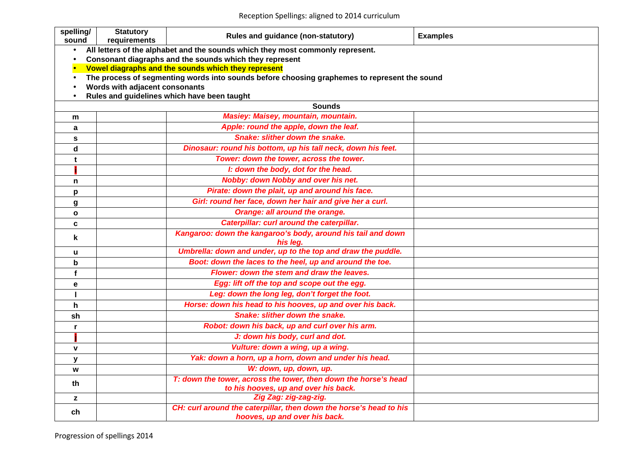Reception Spellings: aligned to 2014 curriculum

| spelling/<br>sound | <b>Statutory</b><br>requirements | Rules and guidance (non-statutory)                                                           | <b>Examples</b> |
|--------------------|----------------------------------|----------------------------------------------------------------------------------------------|-----------------|
| $\bullet$          |                                  | All letters of the alphabet and the sounds which they most commonly represent.               |                 |
| $\bullet$          |                                  | Consonant diagraphs and the sounds which they represent                                      |                 |
|                    |                                  | Vowel diagraphs and the sounds which they represent                                          |                 |
| $\bullet$          |                                  | The process of segmenting words into sounds before choosing graphemes to represent the sound |                 |
|                    | Words with adjacent consonants   | Rules and guidelines which have been taught                                                  |                 |
|                    |                                  | <b>Sounds</b>                                                                                |                 |
| m                  |                                  | <b>Masiey: Maisey, mountain, mountain.</b>                                                   |                 |
| a                  |                                  | Apple: round the apple, down the leaf.                                                       |                 |
| S                  |                                  | Snake: slither down the snake.                                                               |                 |
| d                  |                                  | Dinosaur: round his bottom, up his tall neck, down his feet.                                 |                 |
| t                  |                                  | Tower: down the tower, across the tower.                                                     |                 |
|                    |                                  | I: down the body, dot for the head.                                                          |                 |
| n                  |                                  | Nobby: down Nobby and over his net.                                                          |                 |
| p                  |                                  | Pirate: down the plait, up and around his face.                                              |                 |
| g                  |                                  | Girl: round her face, down her hair and give her a curl.                                     |                 |
| $\mathbf{o}$       |                                  | Orange: all around the orange.                                                               |                 |
| $\mathbf c$        |                                  | Caterpillar: curl around the caterpillar.                                                    |                 |
| k                  |                                  | Kangaroo: down the kangaroo's body, around his tail and down                                 |                 |
|                    |                                  | his leg.                                                                                     |                 |
| u                  |                                  | Umbrella: down and under, up to the top and draw the puddle.                                 |                 |
| b                  |                                  | Boot: down the laces to the heel, up and around the toe.                                     |                 |
| f                  |                                  | Flower: down the stem and draw the leaves.                                                   |                 |
| e                  |                                  | Egg: lift off the top and scope out the egg.                                                 |                 |
|                    |                                  | Leg: down the long leg, don't forget the foot.                                               |                 |
| h                  |                                  | Horse: down his head to his hooves, up and over his back.                                    |                 |
| sh                 |                                  | <b>Snake: slither down the snake.</b>                                                        |                 |
| r                  |                                  | Robot: down his back, up and curl over his arm.                                              |                 |
|                    |                                  | J: down his body, curl and dot.                                                              |                 |
| $\mathbf{V}$       |                                  | Vulture: down a wing, up a wing.                                                             |                 |
| У                  |                                  | Yak: down a horn, up a horn, down and under his head.                                        |                 |
| W                  |                                  | W: down, up, down, up.                                                                       |                 |
| th                 |                                  | T: down the tower, across the tower, then down the horse's head                              |                 |
|                    |                                  | to his hooves, up and over his back.                                                         |                 |
| z                  |                                  | Zig Zag: zig-zag-zig.<br>CH: curl around the caterpillar, then down the horse's head to his  |                 |
| ch                 |                                  | hooves, up and over his back.                                                                |                 |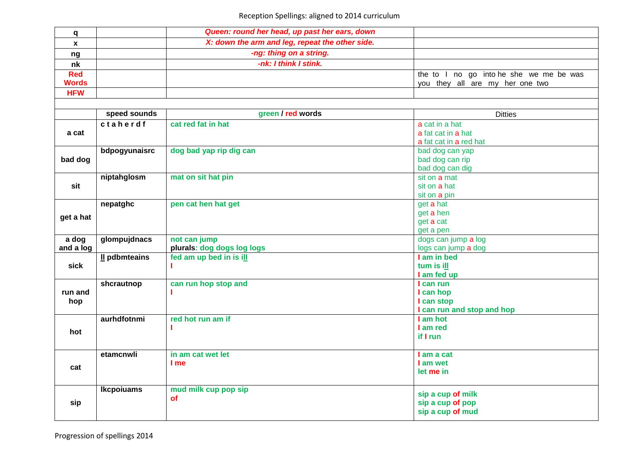| q            |                   | Queen: round her head, up past her ears, down   |                                          |
|--------------|-------------------|-------------------------------------------------|------------------------------------------|
| $\mathbf{x}$ |                   | X: down the arm and leg, repeat the other side. |                                          |
| ng           |                   | -ng: thing on a string.                         |                                          |
| nk           |                   | -nk: I think I stink.                           |                                          |
| <b>Red</b>   |                   |                                                 | the to I no go into he she we me be was  |
| <b>Words</b> |                   |                                                 | you they all are my her one two          |
| <b>HFW</b>   |                   |                                                 |                                          |
|              |                   |                                                 |                                          |
|              | speed sounds      | green / red words                               | <b>Ditties</b>                           |
|              | ctaherdf          | cat red fat in hat                              | a cat in a hat                           |
| a cat        |                   |                                                 | a fat cat in a hat                       |
|              |                   |                                                 | a fat cat in a red hat                   |
|              | bdpogyunaisrc     | dog bad yap rip dig can                         | bad dog can yap                          |
| bad dog      |                   |                                                 | bad dog can rip                          |
|              |                   |                                                 | bad dog can dig                          |
|              | niptahglosm       | mat on sit hat pin                              | sit on a mat                             |
| sit          |                   |                                                 | sit on a hat                             |
|              | nepatghc          | pen cat hen hat get                             | sit on a pin<br>get a hat                |
|              |                   |                                                 | get a hen                                |
| get a hat    |                   |                                                 | get a cat                                |
|              |                   |                                                 | get a pen                                |
| a dog        | glompujdnacs      | not can jump                                    | dogs can jump a log                      |
| and a log    |                   | plurals: dog dogs log logs                      | logs can jump a dog                      |
|              | Il pdbmteains     | fed am up bed in is ill                         | I am in bed                              |
| sick         |                   |                                                 | tum is ill                               |
|              |                   |                                                 | I am fed up                              |
|              | shcrautnop        | can run hop stop and                            | I can run                                |
| run and      |                   |                                                 | I can hop                                |
| hop          |                   |                                                 | I can stop<br>I can run and stop and hop |
|              | aurhdfotnmi       | red hot run am if                               | I am hot                                 |
|              |                   |                                                 | I am red                                 |
| hot          |                   |                                                 | if I run                                 |
|              |                   |                                                 |                                          |
|              | etamcnwli         | in am cat wet let                               | I am a cat                               |
|              |                   | I me                                            | I am wet                                 |
| cat          |                   |                                                 | let me in                                |
|              |                   |                                                 |                                          |
|              | <b>Ikcpoiuams</b> | mud milk cup pop sip                            | sip a cup of milk                        |
| sip          |                   | <b>of</b>                                       | sip a cup of pop                         |
|              |                   |                                                 | sip a cup of mud                         |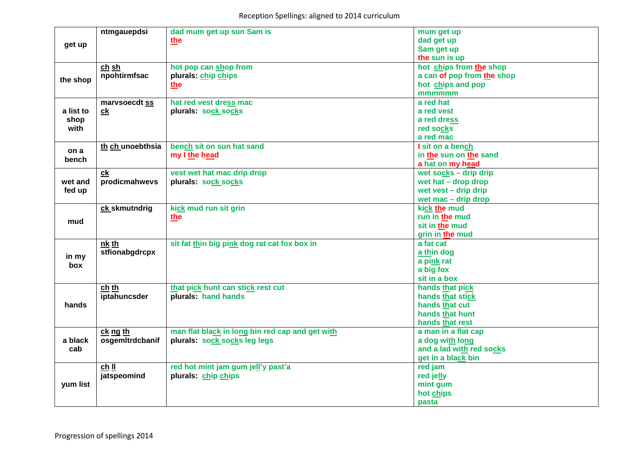|           | ntmgauepdsi      | dad mum get up sun Sam is                       | mum get up                 |
|-----------|------------------|-------------------------------------------------|----------------------------|
|           |                  | the                                             | dad get up                 |
| get up    |                  |                                                 | Sam get up                 |
|           |                  |                                                 | the sun is up              |
|           | ch sh            | hot pop can shop from                           | hot chips from the shop    |
| the shop  | npohtirmfsac     | plurals: chip chips                             | a can of pop from the shop |
|           |                  | the                                             | hot chips and pop          |
|           |                  |                                                 | mmmmmm                     |
|           | marvsoecdt ss    | hat red vest dress mac                          | a red hat                  |
| a list to | c <b>k</b>       | plurals: sock socks                             | a red vest                 |
| shop      |                  |                                                 | a red dress                |
| with      |                  |                                                 | red socks                  |
|           |                  |                                                 | a red mac                  |
| on a      | th ch unoebthsia | bench sit on sun hat sand                       | I sit on a bench           |
| bench     |                  | my I the head                                   | in the sun on the sand     |
|           |                  |                                                 | a hat on my head           |
|           | ck               | vest wet hat mac drip drop                      | wet socks - drip drip      |
| wet and   | prodicmahwevs    | plurals: sock socks                             | wet hat $-$ drop drop      |
| fed up    |                  |                                                 | wet vest $-$ drip drip     |
|           |                  |                                                 | wet mac - drip drop        |
|           | ck skmutndrig    | kick mud run sit grin                           | kick the mud               |
| mud       |                  | the                                             | run in the mud             |
|           |                  |                                                 | sit in the mud             |
|           |                  |                                                 | grin in the mud            |
|           | nk th            | sit fat thin big pink dog rat cat fox box in    | a fat cat                  |
| in my     | stfionabgdrcpx   |                                                 | a thin dog                 |
| box       |                  |                                                 | a pink rat                 |
|           |                  |                                                 | a big fox                  |
|           |                  |                                                 | sit in a box               |
|           | ch th            | that pick hunt can stick rest cut               | hands that pick            |
| hands     | iptahuncsder     | plurals: hand hands                             | hands that stick           |
|           |                  |                                                 | hands that cut             |
|           |                  |                                                 | hands that hunt            |
|           |                  |                                                 | hands that rest            |
|           | ck ng th         | man flat black in long bin red cap and get with | a man in a flat cap        |
| a black   | osgemItrdcbanif  | plurals: sock socks leg legs                    | a dog with long            |
| cab       |                  |                                                 | and a lad with red socks   |
|           |                  |                                                 | get in a black bin         |
|           | $ch$ II          | red hot mint jam gum jell'y past'a              | red jam                    |
| yum list  | jatspeomind      | plurals: chip chips                             | red jelly                  |
|           |                  |                                                 | mint gum                   |
|           |                  |                                                 | hot chips                  |
|           |                  |                                                 | pasta                      |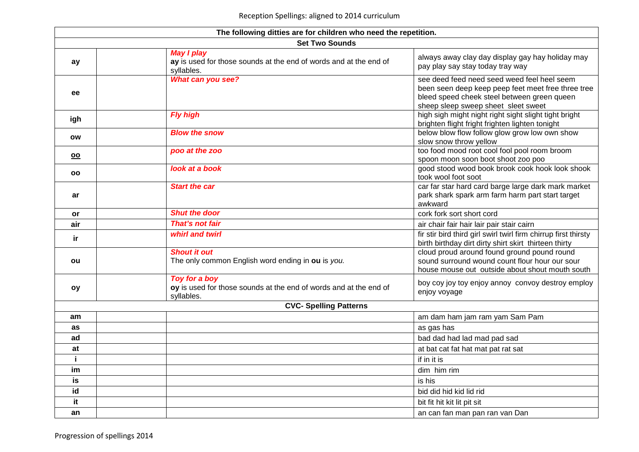| The following ditties are for children who need the repetition. |                                                                                                      |                                                                                                                                                                                         |  |
|-----------------------------------------------------------------|------------------------------------------------------------------------------------------------------|-----------------------------------------------------------------------------------------------------------------------------------------------------------------------------------------|--|
| <b>Set Two Sounds</b>                                           |                                                                                                      |                                                                                                                                                                                         |  |
| ay                                                              | <b>May I play</b><br>ay is used for those sounds at the end of words and at the end of<br>syllables. | always away clay day display gay hay holiday may<br>pay play say stay today tray way                                                                                                    |  |
| ee                                                              | What can you see?                                                                                    | see deed feed need seed weed feel heel seem<br>been seen deep keep peep feet meet free three tree<br>bleed speed cheek steel between green queen<br>sheep sleep sweep sheet sleet sweet |  |
| igh                                                             | <b>Fly high</b>                                                                                      | high sigh might night right sight slight tight bright<br>brighten flight fright frighten lighten tonight                                                                                |  |
| ow                                                              | <b>Blow the snow</b>                                                                                 | below blow flow follow glow grow low own show<br>slow snow throw yellow                                                                                                                 |  |
| $\underline{\mathsf{oo}}$                                       | poo at the zoo                                                                                       | too food mood root cool fool pool room broom<br>spoon moon soon boot shoot zoo poo                                                                                                      |  |
| OO                                                              | look at a book                                                                                       | good stood wood book brook cook hook look shook<br>took wool foot soot                                                                                                                  |  |
| ar                                                              | <b>Start the car</b>                                                                                 | car far star hard card barge large dark mark market<br>park shark spark arm farm harm part start target<br>awkward                                                                      |  |
| or                                                              | <b>Shut the door</b>                                                                                 | cork fork sort short cord                                                                                                                                                               |  |
| air                                                             | That's not fair                                                                                      | air chair fair hair lair pair stair cairn                                                                                                                                               |  |
| ir.                                                             | whirl and twirl                                                                                      | fir stir bird third girl swirl twirl firm chirrup first thirsty<br>birth birthday dirt dirty shirt skirt thirteen thirty                                                                |  |
| ou                                                              | <b>Shout it out</b><br>The only common English word ending in ou is you.                             | cloud proud around found ground pound round<br>sound surround wound count flour hour our sour<br>house mouse out outside about shout mouth south                                        |  |
| oy                                                              | Toy for a boy<br>oy is used for those sounds at the end of words and at the end of<br>syllables.     | boy coy joy toy enjoy annoy convoy destroy employ<br>enjoy voyage                                                                                                                       |  |
|                                                                 | <b>CVC- Spelling Patterns</b>                                                                        |                                                                                                                                                                                         |  |
| am                                                              |                                                                                                      | am dam ham jam ram yam Sam Pam                                                                                                                                                          |  |
| as                                                              |                                                                                                      | as gas has                                                                                                                                                                              |  |
| ad                                                              |                                                                                                      | bad dad had lad mad pad sad                                                                                                                                                             |  |
| at                                                              |                                                                                                      | at bat cat fat hat mat pat rat sat                                                                                                                                                      |  |
| i.                                                              |                                                                                                      | if in it is                                                                                                                                                                             |  |
| im                                                              |                                                                                                      | dim him rim                                                                                                                                                                             |  |
| is                                                              |                                                                                                      | is his                                                                                                                                                                                  |  |
| id                                                              |                                                                                                      | bid did hid kid lid rid                                                                                                                                                                 |  |
| it                                                              |                                                                                                      | bit fit hit kit lit pit sit                                                                                                                                                             |  |
| an                                                              |                                                                                                      | an can fan man pan ran van Dan                                                                                                                                                          |  |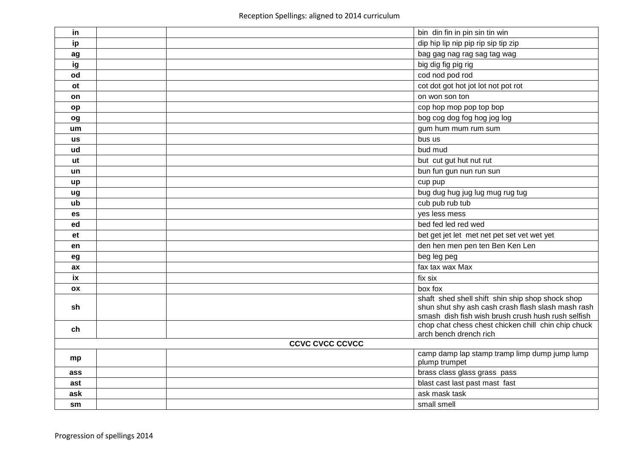| in                     |  |  | bin din fin in pin sin tin win                                                                                                                               |
|------------------------|--|--|--------------------------------------------------------------------------------------------------------------------------------------------------------------|
| ip                     |  |  | dip hip lip nip pip rip sip tip zip                                                                                                                          |
| ag                     |  |  | bag gag nag rag sag tag wag                                                                                                                                  |
| ig                     |  |  | big dig fig pig rig                                                                                                                                          |
| od                     |  |  | cod nod pod rod                                                                                                                                              |
| <b>ot</b>              |  |  | cot dot got hot jot lot not pot rot                                                                                                                          |
| on                     |  |  | on won son ton                                                                                                                                               |
| op                     |  |  | cop hop mop pop top bop                                                                                                                                      |
| og                     |  |  | bog cog dog fog hog jog log                                                                                                                                  |
| um                     |  |  | gum hum mum rum sum                                                                                                                                          |
| us                     |  |  | bus us                                                                                                                                                       |
| ud                     |  |  | bud mud                                                                                                                                                      |
| ut                     |  |  | but cut gut hut nut rut                                                                                                                                      |
| un                     |  |  | bun fun gun nun run sun                                                                                                                                      |
| up                     |  |  | cup pup                                                                                                                                                      |
| ug                     |  |  | bug dug hug jug lug mug rug tug                                                                                                                              |
| ub                     |  |  | cub pub rub tub                                                                                                                                              |
| <b>es</b>              |  |  | yes less mess                                                                                                                                                |
| ed                     |  |  | bed fed led red wed                                                                                                                                          |
| et                     |  |  | bet get jet let met net pet set vet wet yet                                                                                                                  |
| en                     |  |  | den hen men pen ten Ben Ken Len                                                                                                                              |
| eg                     |  |  | beg leg peg                                                                                                                                                  |
| ax                     |  |  | fax tax wax Max                                                                                                                                              |
| ix                     |  |  | fix six                                                                                                                                                      |
| OX                     |  |  | box fox                                                                                                                                                      |
| sh                     |  |  | shaft shed shell shift shin ship shop shock shop<br>shun shut shy ash cash crash flash slash mash rash<br>smash dish fish wish brush crush hush rush selfish |
| ch                     |  |  | chop chat chess chest chicken chill chin chip chuck<br>arch bench drench rich                                                                                |
| <b>CCVC CVCC CCVCC</b> |  |  |                                                                                                                                                              |
| mp                     |  |  | camp damp lap stamp tramp limp dump jump lump<br>plump trumpet                                                                                               |
| ass                    |  |  | brass class glass grass pass                                                                                                                                 |
| ast                    |  |  | blast cast last past mast fast                                                                                                                               |
| ask                    |  |  | ask mask task                                                                                                                                                |
| sm                     |  |  | small smell                                                                                                                                                  |